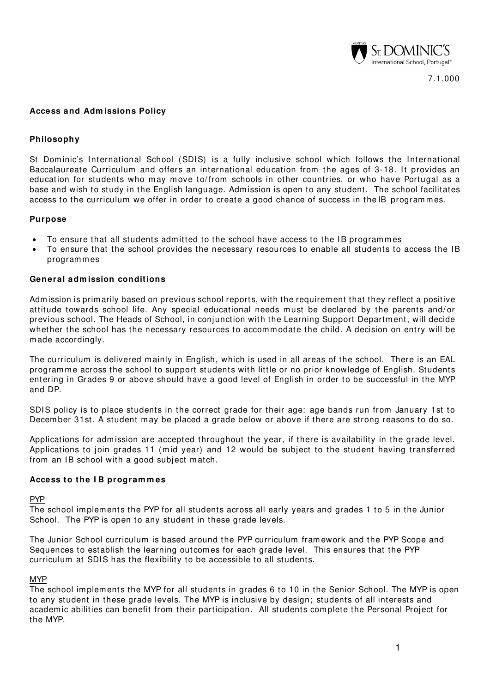

# **Access and Adm issions Policy**

## **Philosophy**

St Dom inic's International School (SDIS) is a fully inclusive school which follows the International Baccalaureate Curriculum and offers an international education from the ages of 3-18. It provides an education for students who may move to/from schools in other countries, or who have Portugal as a base and wish to study in the English language. Adm ission is open to any student. The school facilitates access to the curriculum we offer in order to create a good chance of success in the IB programmes.

### **Purpose**

- To ensure that all students admitted to the school have access to the IB programmes
- To ensure that the school provides the necessary resources to enable all students to access the IB program m es

## **General adm ission conditions**

Admission is primarily based on previous school reports, with the requirement that they reflect a positive attitude towards school life. Any special educational needs must be declared by the parents and/ or previous school. The Heads of School, in conjunction with the Learning Support Department, will decide whether the school has the necessary resources to accommodate the child. A decision on entry will be m ade accordingly.

The curriculum is delivered mainly in English, which is used in all areas of the school. There is an EAL programme across the school to support students with little or no prior knowledge of English. Students entering in Grades 9 or above should have a good level of English in order to be successful in the MYP and DP.

SDIS policy is to place students in the correct grade for their age: age bands run from January 1st to Decem ber 31st. A student may be placed a grade below or above if there are strong reasons to do so.

Applications for admission are accepted throughout the year, if there is availability in the grade level. Applications to join grades 11 (mid year) and 12 would be subject to the student having transferred from an IB school with a good subject m atch.

### **Access to the I B program m es**

### PYP

The school im plem ents the PYP for all students across all early years and grades 1 to 5 in the Junior School. The PYP is open to any student in these grade levels.

The Junior School curriculum is based around the PYP curriculum fram ework and the PYP Scope and Sequences to establish the learning outcomes for each grade level. This ensures that the PYP curriculum at SDIS has the flexibility to be accessible to all students.

### MYP

The school im plem ents the MYP for all students in grades 6 to 10 in the Senior School. The MYP is open to any student in these grade levels. The MYP is inclusive by design; students of all interests and academ ic abilities can benefit from their participation. All students complete the Personal Project for the MYP.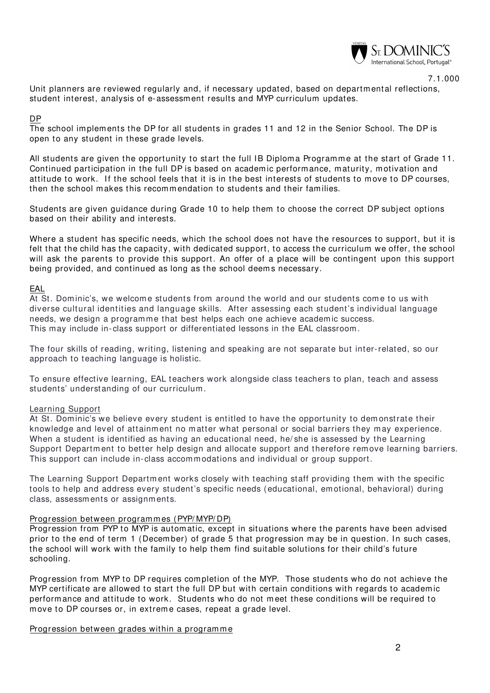

7.1.000

Unit planners are reviewed regularly and, if necessary updated, based on departmental reflections, student interest, analysis of e-assessm ent results and MYP curriculum updates.

### DP

The school implements the DP for all students in grades 11 and 12 in the Senior School. The DP is open to any student in these grade levels.

All students are given the opportunity to start the full IB Diploma Programme at the start of Grade 11. Continued participation in the full DP is based on academic performance, maturity, motivation and attitude to work. If the school feels that it is in the best interests of students to move to DP courses, then the school m akes this recom m endation to students and their families.

Students are given guidance during Grade 10 to help them to choose the correct DP subject options based on their ability and interests.

Where a student has specific needs, which the school does not have the resources to support, but it is felt that the child has the capacity, with dedicated support, to access the curriculum we offer, the school will ask the parents to provide this support. An offer of a place will be contingent upon this support being provided, and continued as long as the school deems necessary.

# EAL

At St. Dominic's, we welcome students from around the world and our students come to us with diverse cultural identities and language skills. After assessing each student's individual language needs, we design a programme that best helps each one achieve academic success. This may include in-class support or differentiated lessons in the EAL classroom.

The four skills of reading, writing, listening and speaking are not separate but inter-related, so our approach to teaching language is holistic.

To ensure effective learning, EAL teachers work alongside class teachers to plan, teach and assess students' understanding of our curriculum.

# Learning Support

At St. Dom inic's we believe every student is entitled to have the opportunity to dem onstrate their knowledge and level of attainment no matter what personal or social barriers they m ay experience. When a student is identified as having an educational need, he/she is assessed by the Learning Support Department to better help design and allocate support and therefore remove learning barriers. This support can include in- class accommodations and individual or group support.

The Learning Support Department works closely with teaching staff providing them with the specific tools to help and address every student's specific needs (educational, emotional, behavioral) during class, assessm ents or assignm ents.

# Progression between programmes (PYP/MYP/DP)

Progression from PYP to MYP is autom atic, except in situations where the parents have been advised prior to the end of term 1 (December) of grade 5 that progression may be in question. In such cases, the school will work with the family to help them find suitable solutions for their child's future schooling.

Progression from MYP to DP requires com pletion of the MYP. Those students who do not achieve the MYP certificate are allowed to start the full DP but with certain conditions with regards to academic performance and attitude to work. Students who do not m eet these conditions will be required to move to DP courses or, in extreme cases, repeat a grade level.

Progression between grades within a programme